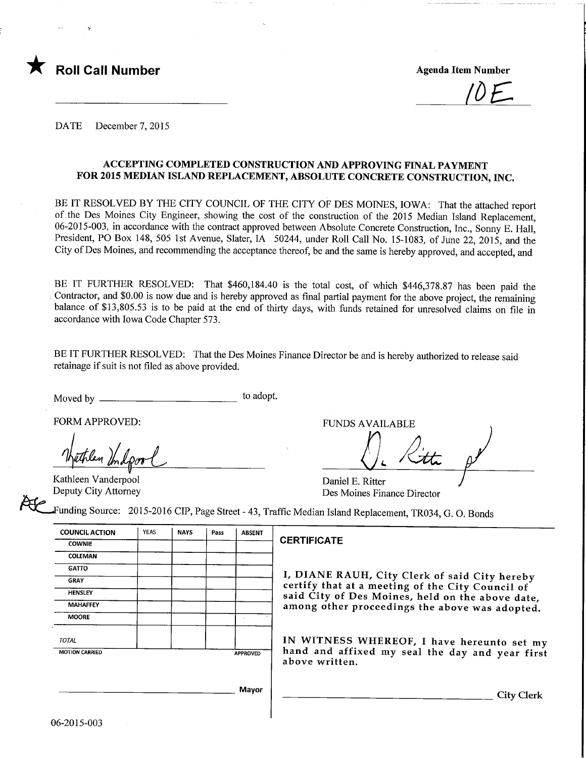

<u>IOE</u>

DATE December 7, 2015

### ACCEPTING COMPLETED CONSTRUCTION AND APPROVING FINAL PAYMENT FOR 2015 MEDIAN ISLAND REPLACEMENT, ABSOLUTE CONCRETE CONSTRUCTION, INC.

BE IT RESOLVED BY THE CITY COUNCIL OF THE CITY OF DES MOINES, IOWA: That the attached report of the Des Moines City Engineer, showing the cost of the construction of the 2015 Median Island Replacement, 06-2015-003, in accordance with the contract approved between Absolute Concrete Construction, Inc., Sonny E. Hall, President, PO Box 148, 505 1st Avenue, Slater, IA 50244, under Roll Call No. 15-1083, of June 22, 2015, and the City of Des Moines, and recommending the acceptance thereof, be and the same is hereby approved, and accepted, and

BE IT FURTHER RESOLVED: That \$460,184.40 is the total cost, of which \$446,378.87 has been paid the Contractor, and \$0.00 is now due and is hereby approved as final partial payment for the above project, the remaining balance of \$13,805.53 is to be paid at the end of thirty days, with funds retained for unresolved claims on file in accordance with Iowa Code Chapter 573.

BE IT FURTHER RESOLVED: That the Des Moines Finance Director be and is hereby authorized to release said retainage if suit is not filed as above provided.

Moved by  $\frac{1}{\sqrt{1-\frac{1}{\sqrt{1-\frac{1}{\sqrt{1-\frac{1}{\sqrt{1-\frac{1}{\sqrt{1-\frac{1}{\sqrt{1-\frac{1}{\sqrt{1-\frac{1}{\sqrt{1-\frac{1}{\sqrt{1-\frac{1}{\sqrt{1-\frac{1}{\sqrt{1-\frac{1}{\sqrt{1-\frac{1}{\sqrt{1-\frac{1}{\sqrt{1-\frac{1}{\sqrt{1-\frac{1}{\sqrt{1-\frac{1}{\sqrt{1-\frac{1}{\sqrt{1-\frac{1}{\sqrt{1-\frac{1}{\sqrt{1-\frac{1}{\sqrt{1-\frac{1}{\sqrt{1-\frac{1}{\sqrt{1-\frac{1$ 

FORM APPROVED: F

Kathleen Vanderpool Deputy City Attorney

| UNDS AVAILABLE |  |  |
|----------------|--|--|
|                |  |  |
|                |  |  |
|                |  |  |

Daniel E. Ritter Des Moines Finance Director

unding Source: 2015-2016 CIP, Page Street - 43, Traffic Median Island Replacement, TR034, G. 0. Bonds

| <b>COUNCIL ACTION</b> | <b>YEAS</b> | <b>NAYS</b> | Pass | <b>ABSENT</b>   |
|-----------------------|-------------|-------------|------|-----------------|
| <b>COWNIE</b>         |             |             |      |                 |
| COLEMAN               |             |             |      |                 |
| <b>GATTO</b>          |             |             |      |                 |
| <b>GRAY</b>           |             |             |      |                 |
| <b>HENSLEY</b>        |             |             |      |                 |
| <b>MAHAFFEY</b>       |             |             |      |                 |
| <b>MOORE</b>          |             |             |      | ×               |
| <b>TOTAL</b>          |             |             |      |                 |
| <b>MOTION CARRIED</b> |             |             |      | <b>APPROVED</b> |
|                       |             |             |      |                 |
|                       |             |             |      |                 |
|                       |             |             |      | Mayor           |
|                       |             |             |      |                 |

### **CERTIFICATE**

I, DIANE RAUH, City Clerk of said City hereby certify that at a meeting of the City Council of said City of Des Moines, held on the above date, among other proceedings the above was adopted.

IN WITNESS WHEREOF, I have hereunto set my hand and affixed my seal the day and year first above written.

City Clerk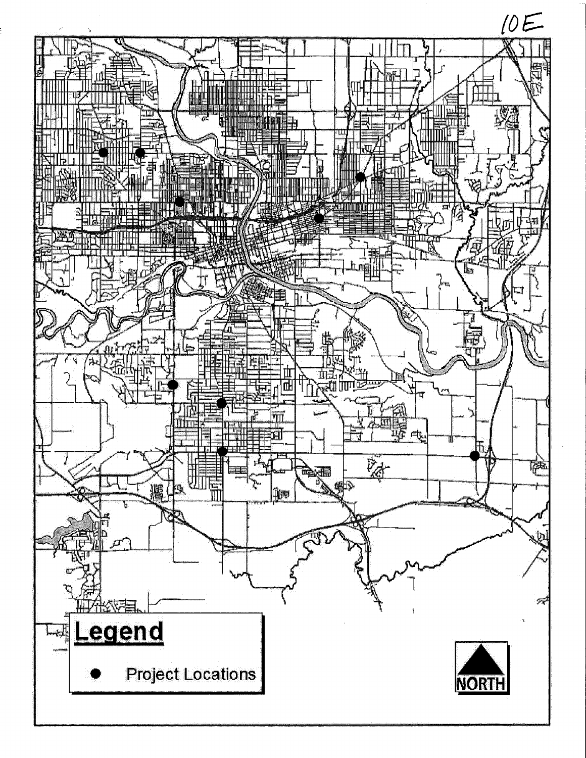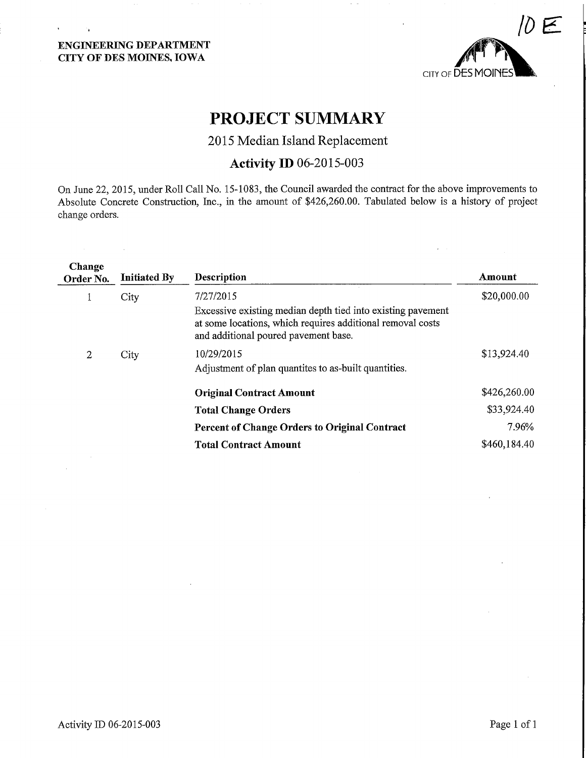# ENGINEERING DEPARTMENT CITY OF DES MOINES, IOWA

÷,

 $\Delta \phi = 0.01$  and  $\Delta \phi = 0.01$ 



# PROJECT SUMMARY

# 2015 Median Island Replacement

# Activity ID 06-2015-003

On June 22, 2015, under Roll Call No. 15-1083, the Council awarded the contract for the above improvements to Absolute Concrete Construction, Inc., in the amount of \$426,260.00. Tabulated below is a history of project change orders.

| Change<br>Order No. | <b>Initiated By</b> | <b>Description</b>                                                                                                                                                             | Amount       |
|---------------------|---------------------|--------------------------------------------------------------------------------------------------------------------------------------------------------------------------------|--------------|
|                     | City                | 7/27/2015<br>Excessive existing median depth tied into existing pavement<br>at some locations, which requires additional removal costs<br>and additional poured pavement base. | \$20,000.00  |
| 2                   | City                | 10/29/2015<br>Adjustment of plan quantites to as-built quantities.                                                                                                             | \$13,924.40  |
|                     |                     | <b>Original Contract Amount</b>                                                                                                                                                | \$426,260.00 |
|                     |                     | <b>Total Change Orders</b>                                                                                                                                                     | \$33,924.40  |
|                     |                     | <b>Percent of Change Orders to Original Contract</b>                                                                                                                           | 7.96%        |
|                     |                     | <b>Total Contract Amount</b>                                                                                                                                                   | \$460,184.40 |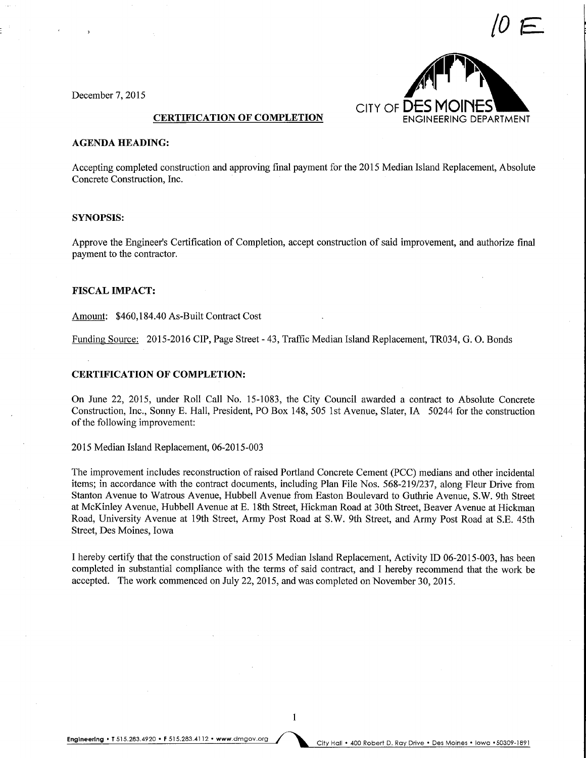

December 7, 2015

#### **CERTIFICATION OF COMPLETION**

### AGENDA HEADING:

Accepting completed construction and approving final payment for the 2015 Median Island Replacement, Absolute Concrete Construction, Inc.

#### SYNOPSIS:

Approve the Engineer's Certification of Completion, accept construction of said improvement, and authorize final payment to the contractor.

#### FISCAL IMPACT:

Amount: \$460,184.40 As-Built Contract Cost

Funding Source: 2015-2016 CIP, Page Street - 43, Traffic Median Island Replacement, TR034, G. 0. Bonds

#### CERTIFICATION OF COMPLETION:

On June 22, 2015, under Roll Call No. 15-1083, the City Council awarded a contract to Absolute Concrete Construction, Inc., Sonny E. Hall, President, PO Box 148, 505 1st Avenue, Slater, IA 50244 for the construction of the following improvement:

2015 Median Island Replacement, 06-2015-003

The improvement includes reconstruction of raised Portland Concrete Cement (PCC) medians and other incidental items; in accordance with the contract documents, including Plan File Nos. 568-219/237, along Fleur Drive from Stanton Avenue to Watrous Avenue, Hubbell Avenue from Easton Boulevard to Guthrie Avenue, S.W. 9th Street at McKinley Avenue, Hubbell Avenue at E. 18th Street, Hickman Road at 30th Street, Beaver Avenue at Hickman Road, University Avenue at 19th Street, Army Post Road at S.W. 9th Street, and Army Post Road at S.E. 45th Street, Des Moines, Iowa

I hereby certify that the construction of said 2015 Median Island Replacement, Activity ID 06-2015-003, has been completed in substantial compliance with the terms of said contract, and I hereby recommend that the work be accepted. The work commenced on July 22, 2015, and was completed on November 30, 2015.

Engineering • T 515.283.4920 • F 515.283.4112 • www.dmgov.org City Hall • 400 Robert D. Ray Drive • Des Moines • Iowa • 50309-1891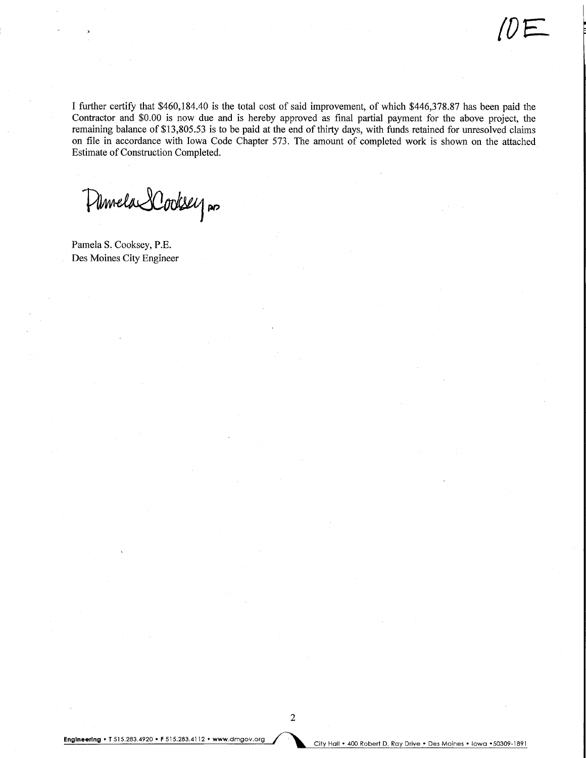I further certify that \$460,184.40 is the total cost of said improvement, of which \$446,378.87 has been paid the Contractor and \$0.00 is now due and is hereby approved as final partial payment for the above project, the remaining balance of \$13,805.53 is to be paid at the end of thirty days, with funds retained for unresolved claims on file in accordance with Iowa Code Chapter 573. The amount of completed work is shown on the attached Estimate of Construction Completed.

Pumela SCooksey no

Pamela S. Cooksey, P.E. Des Moines City Engineer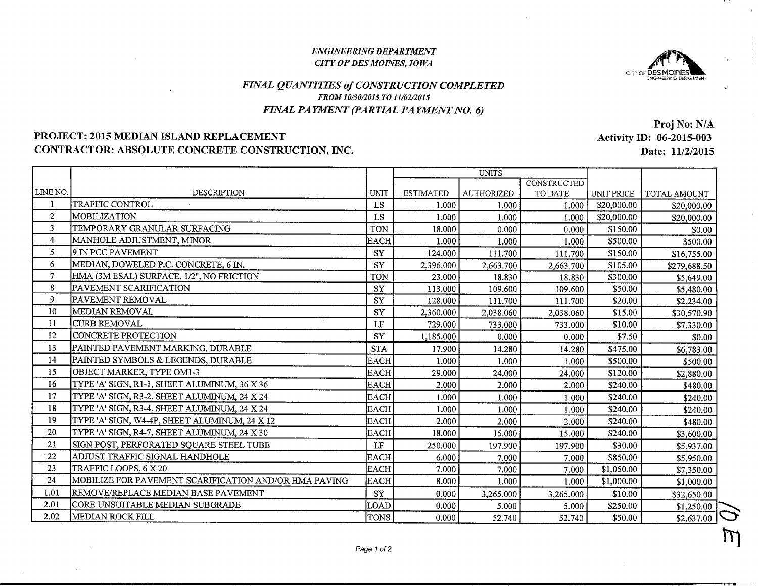#### ENGINEERING DEPARTMENTCITY OF DES MOINES, IOWA



# FINAL QUANTITIES of CONSTRUCTION COMPLETEDFROM 10/30/2015 TO 11/02/2015FINAL PA YMENT (PARTIAL PA YMENT NO. 6)

# PROJECT: 2015 MEDIAN ISLAND REPLACEMENTCONTRACTOR: ABSOLUTE CONCRETE CONSTRUCTION, INC.

LINE NO.1 2 3 4 5 6 7 8 9 10 11 12 13 14 15 16 17 18 19 20 21 •2223 24 1.01 2.01 2.02DESCRIPTIONTRAFFIC CONTROLMOBILIZATION TEMPORARY GRANULAR SURFACINGMANHOLE ADJUSTMENT, MINOR 9 IN PCC PAVEMENT MEDIAN, DOWELED P.C. CONCRETE, 6 W. HMA (3MESAL) SURFACE, 1/2", NO FRICTIONPAVEMENT SCARIFICATIONPAVEMENT REMOVALMEDIAN REMOVALCURB REMOVAL CONCRETE PROTECTIONPAINTED PAVEMENT MARKING, DURABLI PAINTED SYMBOLS & LEGENDS, DURABLEOBJECT MARKER, TYPE OM1-3 TYPE 'A' SIGN, Rl-1, SHEET ALUMINUM, 36 X 36TYPE 'A' SIGN, R3-2, SHEET ALUMINUM, 24 X 24 TYPE 'A' SIGN, R3-4, SHEET ALUMINUM, 24 X 24 TYPE 'A' SIGN, W4-4P, SHEET ALUMINUM, 24 X 12TYPE 'A' SIGN, R4-7, SHEET ALUMINUM, 24 X 30SIGN POST, PERFORATED SQUARE STEEL TUBI ADJUST TRAFFIC SIGNAL HANDHOLETRAFFIC LOOPS, 6 X 20 MOBILIZE FOR PAVEMENT SCARIFICATION AND/OR HMA PAVINGREMOVE/REPLACE MEDIAN BASE PAVEMENTCORE UNSUITABLE MEDIAN SUBGRADEMEDIAN ROCK FILLUNIT LS LS TON EACH SY SY TON SY SY SY LF SY STA EACH EACH EACH EACH EACH EACH EACH LF EACH EACH EACH SY LOAD TONSUNITSESTIMATED 1.000 I 1.000 I 18.0001 1.000 I 124.000 2,396.000 | 23.000113.000 128.000 |2,360.000 729.000 | 1,185.0001 17.900 | 1.0001 29.000 | $2.000$  1.0001 1.000 I $2.000$  18.0001 250.000 $6.000$  7.000 | 8.0001 $0.000$  $0.000$ 0.000 AUTHORIZED 1.000 1.000 0.000 1.000 111.700 2,663.700 18.830 109.600 111.700 2,038.060 733.000 0.000 14.280 1.000 24.000 2.000 1.000 1.000 2.000 15.000 197.900 7.000 7.000 1.000 3,265.000 5.000 52.740**CONSTRUCTED** TO DATE 1.000 1.000 0.000 1.000 111.700 2,663.700 18.830 109.600 111.700 2,038.060 733.000 0.000 14.280 1.000 24.000 2.000 1.000 1.000 2.000 15.000 197.900 7.000 7.000 1.000 3,265.000 5.000 52.740UNIT PRICE \$20,000.00 \$20,000.00 \$150.00 \$500.00 \$150.00 \$105.00 \$300.00 \$50.00 \$20.00 \$15.00 \$10.00 \$7.50 \$475.00 \$500.00 \$120.00 \$240.00 \$240.00 \$240.00 \$240.00 \$240.00 \$30.00 \$850.00 \$1,050.00 \$1,000.00 \$10.00 \$250.00 \$50.00TOTAL AMOUNT \$20,000.00 \$20,000.00 \$0.00 \$500.00 \$16,755.00 \$279,688.50 \$5,649.00 \$5,480.00 \$2,234.00 \$30,570.90 \$7,330.00 \$0.00 \$6,783.00 \$500.00 \$2,880.00 \$480.00 \$240.00 \$240.00 \$480.00 \$3.600.00 \$5.937.00 \$5,950.00 \$7.350.00 \$1,000.00 \$32,650.00 \$1,250.00\$2,637.00

Proj No: N/A Activity ID: 06-2015-003Date: 11/2/2015

 $\rightarrow$ 

 $\mu$